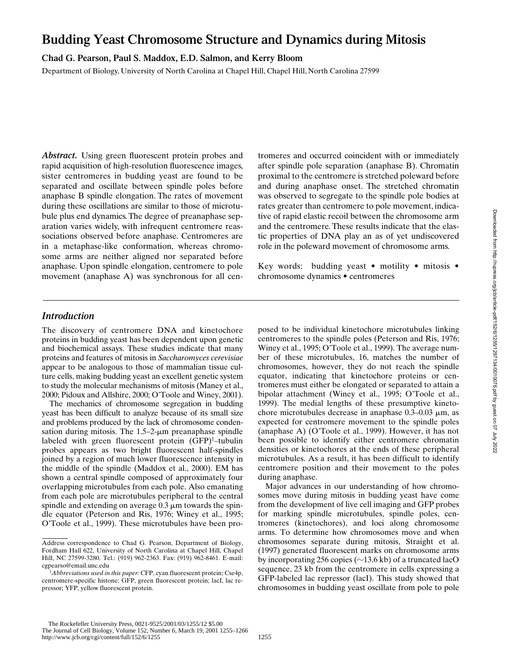# **Budding Yeast Chromosome Structure and Dynamics during Mitosis**

**Chad G. Pearson, Paul S. Maddox, E.D. Salmon, and Kerry Bloom**

Department of Biology, University of North Carolina at Chapel Hill, Chapel Hill, North Carolina 27599

Abstract. Using green fluorescent protein probes and rapid acquisition of high-resolution fluorescence images, sister centromeres in budding yeast are found to be separated and oscillate between spindle poles before anaphase B spindle elongation. The rates of movement during these oscillations are similar to those of microtubule plus end dynamics. The degree of preanaphase separation varies widely, with infrequent centromere reassociations observed before anaphase. Centromeres are in a metaphase-like conformation, whereas chromosome arms are neither aligned nor separated before anaphase. Upon spindle elongation, centromere to pole movement (anaphase A) was synchronous for all cen-

tromeres and occurred coincident with or immediately after spindle pole separation (anaphase B). Chromatin proximal to the centromere is stretched poleward before and during anaphase onset. The stretched chromatin was observed to segregate to the spindle pole bodies at rates greater than centromere to pole movement, indicative of rapid elastic recoil between the chromosome arm and the centromere. These results indicate that the elastic properties of DNA play an as of yet undiscovered role in the poleward movement of chromosome arms.

Key words: budding yeast • motility • mitosis • chromosome dynamics • centromeres

# *Introduction*

The discovery of centromere DNA and kinetochore proteins in budding yeast has been dependent upon genetic and biochemical assays. These studies indicate that many proteins and features of mitosis in *Saccharomyces cerevisiae* appear to be analogous to those of mammalian tissue culture cells, making budding yeast an excellent genetic system to study the molecular mechanisms of mitosis (Maney et al., 2000; Pidoux and Allshire, 2000; O'Toole and Winey, 2001).

The mechanics of chromosome segregation in budding yeast has been difficult to analyze because of its small size and problems produced by the lack of chromosome condensation during mitosis. The  $1.5-2$ - $\mu$ m preanaphase spindle labeled with green fluorescent protein (GFP)<sup>1</sup>-tubulin probes appears as two bright fluorescent half-spindles joined by a region of much lower fluorescence intensity in the middle of the spindle (Maddox et al., 2000). EM has shown a central spindle composed of approximately four overlapping microtubules from each pole. Also emanating from each pole are microtubules peripheral to the central spindle and extending on average  $0.3 \mu$ m towards the spindle equator (Peterson and Ris, 1976; Winey et al., 1995; O'Toole et al., 1999). These microtubules have been pro-

posed to be individual kinetochore microtubules linking centromeres to the spindle poles (Peterson and Ris, 1976; Winey et al., 1995; O'Toole et al., 1999). The average number of these microtubules, 16, matches the number of chromosomes, however, they do not reach the spindle equator, indicating that kinetochore proteins or centromeres must either be elongated or separated to attain a bipolar attachment (Winey et al., 1995; O'Toole et al., 1999). The medial lengths of these presumptive kinetochore microtubules decrease in anaphase  $0.3-0.03 \mu m$ , as expected for centromere movement to the spindle poles (anaphase A) (O'Toole et al., 1999). However, it has not been possible to identify either centromere chromatin densities or kinetochores at the ends of these peripheral microtubules. As a result, it has been difficult to identify centromere position and their movement to the poles during anaphase.

Major advances in our understanding of how chromosomes move during mitosis in budding yeast have come from the development of live cell imaging and GFP probes for marking spindle microtubules, spindle poles, centromeres (kinetochores), and loci along chromosome arms. To determine how chromosomes move and when chromosomes separate during mitosis, Straight et al. (1997) generated fluorescent marks on chromosome arms by incorporating 256 copies ( $\sim$ 13.6 kb) of a truncated lacO sequence, 23 kb from the centromere in cells expressing a GFP-labeled lac repressor (lacI). This study showed that chromosomes in budding yeast oscillate from pole to pole

Address correspondence to Chad G. Pearson, Department of Biology, Fordham Hall 622, University of North Carolina at Chapel Hill, Chapel Hill, NC 27599-3280. Tel.: (919) 962-2363. Fax: (919) 962-8461. E-mail: cgpearso@email.unc.edu

<sup>&</sup>lt;sup>1</sup>Abbreviations used in this paper: CFP, cyan fluorescent protein; Cse4p, centromere-specific histone; GFP, green fluorescent protein; lacI, lac repressor; YFP, yellow fluorescent protein.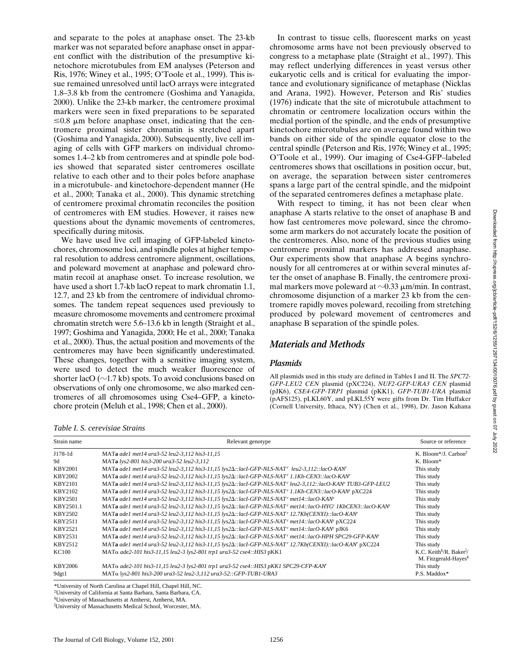and separate to the poles at anaphase onset. The 23-kb marker was not separated before anaphase onset in apparent conflict with the distribution of the presumptive kinetochore microtubules from EM analyses (Peterson and Ris, 1976; Winey et al., 1995; O'Toole et al., 1999). This issue remained unresolved until lacO arrays were integrated 1.8–3.8 kb from the centromere (Goshima and Yanagida, 2000). Unlike the 23-kb marker, the centromere proximal markers were seen in fixed preparations to be separated  $\leq 0.8$  µm before anaphase onset, indicating that the centromere proximal sister chromatin is stretched apart (Goshima and Yanagida, 2000). Subsequently, live cell imaging of cells with GFP markers on individual chromosomes 1.4–2 kb from centromeres and at spindle pole bodies showed that separated sister centromeres oscillate relative to each other and to their poles before anaphase in a microtubule- and kinetochore-dependent manner (He et al., 2000; Tanaka et al., 2000). This dynamic stretching of centromere proximal chromatin reconciles the position of centromeres with EM studies. However, it raises new questions about the dynamic movements of centromeres, specifically during mitosis.

We have used live cell imaging of GFP-labeled kinetochores, chromosome loci, and spindle poles at higher temporal resolution to address centromere alignment, oscillations, and poleward movement at anaphase and poleward chromatin recoil at anaphase onset. To increase resolution, we have used a short 1.7-kb lacO repeat to mark chromatin 1.1, 12.7, and 23 kb from the centromere of individual chromosomes. The tandem repeat sequences used previously to measure chromosome movements and centromere proximal chromatin stretch were 5.6–13.6 kb in length (Straight et al., 1997; Goshima and Yanagida, 2000; He et al., 2000; Tanaka et al., 2000). Thus, the actual position and movements of the centromeres may have been significantly underestimated. These changes, together with a sensitive imaging system, were used to detect the much weaker fluorescence of shorter lacO ( $\sim$ 1.7 kb) spots. To avoid conclusions based on observations of only one chromosome, we also marked centromeres of all chromosomes using Cse4–GFP, a kinetochore protein (Meluh et al., 1998; Chen et al., 2000).

*Table I. S. cerevisiae Strains*

In contrast to tissue cells, fluorescent marks on yeast chromosome arms have not been previously observed to congress to a metaphase plate (Straight et al., 1997). This may reflect underlying differences in yeast versus other eukaryotic cells and is critical for evaluating the importance and evolutionary significance of metaphase (Nicklas and Arana, 1992). However, Peterson and Ris' studies (1976) indicate that the site of microtubule attachment to chromatin or centromere localization occurs within the medial portion of the spindle, and the ends of presumptive kinetochore microtubules are on average found within two bands on either side of the spindle equator close to the central spindle (Peterson and Ris, 1976; Winey et al., 1995; O'Toole et al., 1999). Our imaging of Cse4-GFP–labeled centromeres shows that oscillations in position occur, but, on average, the separation between sister centromeres spans a large part of the central spindle, and the midpoint of the separated centromeres defines a metaphase plate.

With respect to timing, it has not been clear when anaphase A starts relative to the onset of anaphase B and how fast centromeres move poleward, since the chromosome arm markers do not accurately locate the position of the centromeres. Also, none of the previous studies using centromere proximal markers has addressed anaphase. Our experiments show that anaphase A begins synchronously for all centromeres at or within several minutes after the onset of anaphase B. Finally, the centromere proximal markers move poleward at  $\sim$ 0.33  $\mu$ m/min. In contrast, chromosome disjunction of a marker 23 kb from the centromere rapidly moves poleward, recoiling from stretching produced by poleward movement of centromeres and anaphase B separation of the spindle poles.

## *Materials and Methods*

## *Plasmids*

All plasmids used in this study are defined in Tables I and II. The *SPC72- GFP-LEU2 CEN* plasmid (pXC224), *NUF2-GFP-URA3 CEN* plasmid (pJK6), *CSE4-GFP-TRP1* plasmid (pKK1), *GFP-TUB1-URA* plasmid (pAFS125), pLKL60Y, and pLKL55Y were gifts from Dr. Tim Huffaker (Cornell University, Ithaca, NY) (Chen et al., 1998), Dr. Jason Kahana

| Strain name    | Relevant genotype                                                                                                   | Source or reference                                                                  |  |  |
|----------------|---------------------------------------------------------------------------------------------------------------------|--------------------------------------------------------------------------------------|--|--|
| J178-1d        | MATa ade1 met14 ura3-52 leu2-3,112 his3-11,15                                                                       | K. Bloom*/J. Carbon $\ddagger$                                                       |  |  |
| 9d             | MATa lys2-801 his3-200 ura3-52 leu2-3,112                                                                           | K. Bloom*                                                                            |  |  |
| <b>KBY2001</b> | MATa ade1 met14 ura3-52 leu2-3,112 his3-11,15 lys2 $\Delta$ ::lacI-GFP-NLS-NAT' leu2-3,112::lacO-KAN'               | This study                                                                           |  |  |
| <b>KBY2002</b> | MATa ade1 met14 ura3-52 leu2-3,112 his3-11,15 lys2 $\Delta$ ::lac1-GFP-NLS-NAT' 1.1Kb-CEN3::lacO-KAN'               | This study                                                                           |  |  |
| <b>KBY2101</b> | MATa ade1 met14 ura3-52 leu2-3,112 his3-11,15 lys2 $\Delta$ ::lacI-GFP-NLS-NAT' leu2-3,112::lacO-KAN' TUB3-GFP-LEU2 | This study                                                                           |  |  |
| KBY2102        | MATa ade1 met14 ura3-52 leu2-3,112 his3-11,15 lys2 $\Delta$ ::lacI-GFP-NLS-NAT' 1.1Kb-CEN3::lacO-KAN' pXC224        | This study                                                                           |  |  |
| KBY2501        | MATa ade1 met14 ura3-52 leu2-3,112 his3-11,15 lys2 $\Delta$ ::lacI-GFP-NLS-NAT' met14::lacO-KAN'                    | This study                                                                           |  |  |
| KBY2501.1      | MATa ade1 met14 ura3-52 leu2-3,112 his3-11,15 lys2 $\Delta$ ::lacI-GFP-NLS-NAT' met14::lacO-HYG' 1KbCEN3::lacO-KAN' | This study                                                                           |  |  |
| KBY2502        | MATa ade1 met14 ura3-52 leu2-3,112 his3-11,15 lys2 $\Delta$ ::lacI-GFP-NLS-NAT' 12.7Kb(CENXI)::lacO-KAN'            | This study                                                                           |  |  |
| <b>KBY2511</b> | MATa ade1 met14 ura3-52 leu2-3,112 his3-11,15 lys2 $\Delta$ ::lac1-GFP-NLS-NAT' met14::lacO-KAN' pXC224             | This study                                                                           |  |  |
| KBY2521        | MATa ade1 met14 ura3-52 leu2-3,112 his3-11,15 lys2 $\Delta$ ::lacI-GFP-NLS-NAT' met14::lacO-KAN' pJK6               | This study                                                                           |  |  |
| KBY2531        | MATa ade1 met14 ura3-52 leu2-3,112 his3-11,15 lys2 $\Delta$ ::lac1-GFP-NLS-NAT' met14::lacO-HPH SPC29-GFP-KAN'      | This study                                                                           |  |  |
| KBY2512        | MATa ade1 met14 ura3-52 leu2-3,112 his3-11,15 lys2 $\Delta$ ::lacI-GFP-NLS-NAT' 12.7Kb(CENXI)::lacO-KAN' pXC224     | This study                                                                           |  |  |
| <b>KC100</b>   | MATα ade2-101 his3-11,15 leu2-3 lys2-801 trp1 ura3-52 cse4:: HIS3 pKK1                                              | K.C. Keith <sup>§</sup> /R. Baker <sup>  /</sup><br>M. Fitzgerald-Hayes <sup>§</sup> |  |  |
| KBY2006        | MATα ade2-101 his3-11,15 leu2-3 lys2-801 trp1 ura3-52 cse4::HIS3 pKK1 SPC29-CFP-KAN                                 | This study                                                                           |  |  |
| 9dgt1          | MATα lys2-801 his3-200 ura3-52 leu2-3,112 ura3-52::GFP-TUB1-URA3                                                    | P.S. Maddox*                                                                         |  |  |

\*University of North Carolina at Chapel Hill, Chapel Hill, NC.

‡ University of California at Santa Barbara, Santa Barbara, CA.

§ University of Massachusetts at Amherst, Amherst, MA.

University of Massachusetts Medical School, Worcester, MA.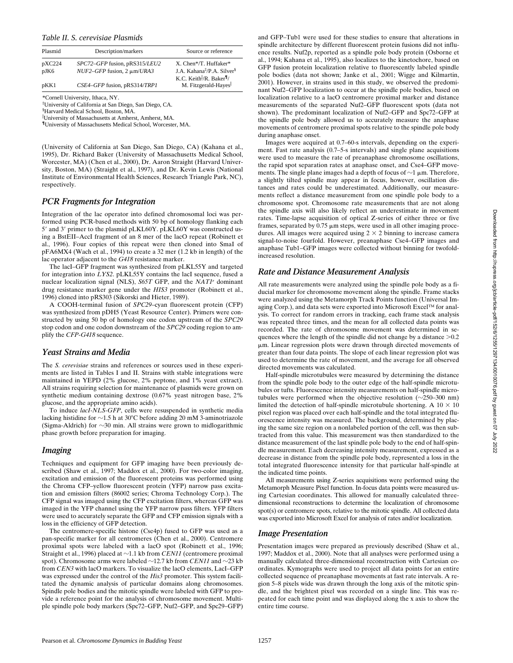*Table II. S. cerevisiae Plasmids*

| Plasmid        | Description/markers                                                | Source or reference                                                                                                 |  |  |  |  |
|----------------|--------------------------------------------------------------------|---------------------------------------------------------------------------------------------------------------------|--|--|--|--|
| pXC224<br>pJK6 | SPC72-GFP fusion, pRS315/LEU2<br>$NUF2-GFP$ fusion, 2 $\mu$ m/URA3 | X. Chen*/T. Huffaker*<br>J.A. Kahana <sup>‡</sup> /P.A. Silver <sup>§</sup><br>K.C. Keith / R. Baker <sup>¶</sup> / |  |  |  |  |
| pKK1           | $CSE4-GFP$ fusion, pRS314/TRP1                                     | M. Fitzgerald-Hayes                                                                                                 |  |  |  |  |

\*Cornell University, Ithaca, NY.

‡ University of California at San Diego, San Diego, CA.

§ Harvard Medical School, Boston, MA.

University of Massachusetts at Amherst, Amherst, MA.

**¶**University of Massachusetts Medical School, Worcester, MA.

(University of California at San Diego, San Diego, CA) (Kahana et al., 1995), Dr. Richard Baker (University of Massachusetts Medical School, Worcester, MA) (Chen et al., 2000), Dr. Aaron Straight (Harvard University, Boston, MA) (Straight et al., 1997), and Dr. Kevin Lewis (National Institute of Environmental Health Sciences, Research Triangle Park, NC), respectively.

#### *PCR Fragments for Integration*

Integration of the lac operator into defined chromosomal loci was performed using PCR-based methods with 50 bp of homology flanking each 5' and 3' primer to the plasmid pLKL60Y. pLKL60Y was constructed using a BstEII–AccI fragment of an 8 mer of the lacO repeat (Robinett et al., 1996). Four copies of this repeat were then cloned into SmaI of pFA6MX4 (Wach et al., 1994) to create a 32 mer (1.2 kb in length) of the lac operator adjacent to the *G418* resistance marker.

The lacI–GFP fragment was synthesized from pLKL55Y and targeted for integration into *LYS2*. pLKL55Y contains the lacI sequence, fused a nuclear localization signal (NLS), *S65T* GFP, and the *NAT1r* dominant drug resistance marker gene under the *HIS3* promoter (Robinett et al., 1996) cloned into pRS303 (Sikorski and Hieter, 1989).

A COOH-terminal fusion of *SPC29*–cyan fluorescent protein (CFP) was synthesized from pDH5 (Yeast Resource Center). Primers were constructed by using 50 bp of homology one codon upstream of the *SPC29* stop codon and one codon downstream of the *SPC29* coding region to amplify the *CFP-G418* sequence.

#### *Yeast Strains and Media*

The *S. cerevisiae* strains and references or sources used in these experiments are listed in Tables I and II. Strains with stable integrations were maintained in YEPD (2% glucose, 2% peptone, and 1% yeast extract). All strains requiring selection for maintenance of plasmids were grown on synthetic medium containing dextrose (0.67% yeast nitrogen base, 2% glucose, and the appropriate amino acids).

To induce *lacI-NLS-GFP*, cells were resuspended in synthetic media lacking histidine for  $\sim$ 1.5 h at 30°C before adding 20 mM 3-aminotriazole (Sigma-Aldrich) for  $\sim$ 30 min. All strains were grown to midlogarithmic phase growth before preparation for imaging.

#### *Imaging*

Techniques and equipment for GFP imaging have been previously described (Shaw et al., 1997; Maddox et al., 2000). For two-color imaging, excitation and emission of the fluorescent proteins was performed using the Chroma CFP–yellow fluorescent protein (YFP) narrow pass excitation and emission filters (86002 series; Chroma Technology Corp.). The CFP signal was imaged using the CFP excitation filters, whereas GFP was imaged in the YFP channel using the YFP narrow pass filters. YFP filters were used to accurately separate the GFP and CFP emission signals with a loss in the efficiency of GFP detection.

The centromere-specific histone (Cse4p) fused to GFP was used as a pan-specific marker for all centromeres (Chen et al., 2000). Centromere proximal spots were labeled with a lacO spot (Robinett et al., 1996; Straight et al., 1996) placed at  $\sim$ 1.1 kb from *CEN11* (centromere proximal spot). Chromosome arms were labeled  $\sim$ 12.7 kb from *CEN11* and  $\sim$ 23 kb from *CEN3* with lacO markers. To visualize the lacO elements, LacI–GFP was expressed under the control of the *His3* promoter. This system facilitated the dynamic analysis of particular domains along chromosomes. Spindle pole bodies and the mitotic spindle were labeled with GFP to provide a reference point for the analysis of chromosome movement. Multiple spindle pole body markers (Spc72–GFP, Nuf2–GFP, and Spc29–GFP) and GFP–Tub1 were used for these studies to ensure that alterations in spindle architecture by different fluorescent protein fusions did not influence results. Nuf2p, reported as a spindle pole body protein (Osborne et al., 1994; Kahana et al., 1995), also localizes to the kinetochore, based on GFP fusion protein localization relative to fluorescently labeled spindle pole bodies (data not shown; Janke et al., 2001; Wigge and Kilmartin, 2001). However, in strains used in this study, we observed the predominant Nuf2–GFP localization to occur at the spindle pole bodies, based on localization relative to a lacO centromere proximal marker and distance measurements of the separated Nuf2–GFP fluorescent spots (data not shown). The predominant localization of Nuf2–GFP and Spc72–GFP at the spindle pole body allowed us to accurately measure the anaphase movements of centromere proximal spots relative to the spindle pole body during anaphase onset.

Images were acquired at 0.7–60-s intervals, depending on the experiment. Fast rate analysis (0.7–5-s intervals) and single plane acquisitions were used to measure the rate of preanaphase chromosome oscillations, the rapid spot separation rates at anaphase onset, and Cse4–GFP movements. The single plane images had a depth of focus of  $\sim$ 1  $\mu$ m. Therefore, a slightly tilted spindle may appear in focus, however, oscillation distances and rates could be underestimated. Additionally, our measurements reflect a distance measurement from one spindle pole body to a chromosome spot. Chromosome rate measurements that are not along the spindle axis will also likely reflect an underestimate in movement rates. Time-lapse acquisition of optical Z-series of either three or five frames, separated by  $0.75 \mu m$  steps, were used in all other imaging procedures. All images were acquired using  $2 \times 2$  binning to increase camera signal-to-noise fourfold. However, preanaphase Cse4–GFP images and anaphase Tub1–GFP images were collected without binning for twofoldincreased resolution.

#### *Rate and Distance Measurement Analysis*

All rate measurements were analyzed using the spindle pole body as a fiducial marker for chromosome movement along the spindle. Frame stacks were analyzed using the Metamorph Track Points function (Universal Imaging Corp.), and data sets were exported into Microsoft Excel™ for analysis. To correct for random errors in tracking, each frame stack analysis was repeated three times, and the mean for all collected data points was recorded. The rate of chromosome movement was determined in sequences where the length of the spindle did not change by a distance  $>0.2$ mm. Linear regression plots were drawn through directed movements of greater than four data points. The slope of each linear regression plot was used to determine the rate of movement, and the average for all observed directed movements was calculated.

Half-spindle microtubules were measured by determining the distance from the spindle pole body to the outer edge of the half-spindle microtubules or tufts. Fluorescence intensity measurements on half-spindle microtubules were performed when the objective resolution  $(\sim 250-300 \text{ nm})$ limited the detection of half-spindle microtubule shortening. A  $10 \times 10$ pixel region was placed over each half-spindle and the total integrated fluorescence intensity was measured. The background, determined by placing the same size region on a nonlabeled portion of the cell, was then subtracted from this value. This measurement was then standardized to the distance measurement of the last spindle pole body to the end of half-spindle measurement. Each decreasing intensity measurement, expressed as a decrease in distance from the spindle pole body, represented a loss in the total integrated fluorescence intensity for that particular half-spindle at the indicated time points.

All measurements using Z-series acquisitions were performed using the Metamorph Measure Pixel function. In-focus data points were measured using Cartesian coordinates. This allowed for manually calculated threedimensional reconstructions to determine the localization of chromosome spot(s) or centromere spots, relative to the mitotic spindle. All collected data was exported into Microsoft Excel for analysis of rates and/or localization.

#### *Image Presentation*

Presentation images were prepared as previously described (Shaw et al., 1997; Maddox et al., 2000). Note that all analyses were performed using a manually calculated three-dimensional reconstruction with Cartesian coordinates. Kymographs were used to project all data points for an entire collected sequence of preanaphase movements at fast rate intervals. A region 5–8 pixels wide was drawn through the long axis of the mitotic spindle, and the brightest pixel was recorded on a single line. This was repeated for each time point and was displayed along the x axis to show the entire time course.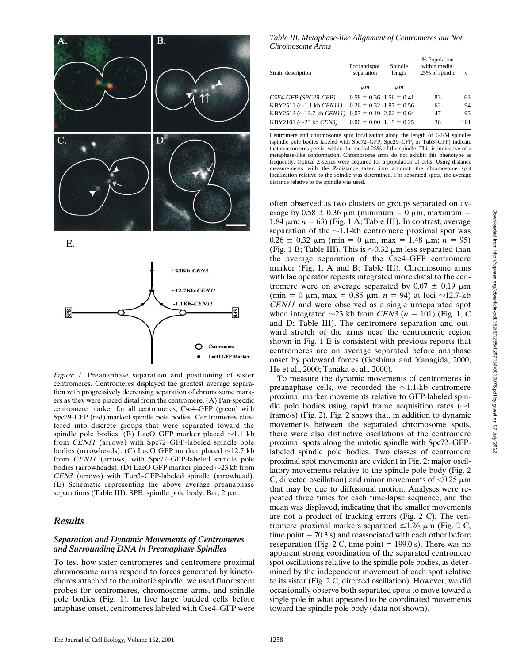



*Figure 1.* Preanaphase separation and positioning of sister centromeres. Centromeres displayed the greatest average separation with progressively decreasing separation of chromosome markers as they were placed distal from the centromere. (A) Pan-specific centromere marker for all centromeres, Cse4–GFP (green) with Spc29–CFP (red) marked spindle pole bodies. Centromeres clustered into discrete groups that were separated toward the spindle pole bodies. (B) LacO GFP marker placed  $\sim$ 1.1 kb from *CEN11* (arrows) with Spc72–GFP-labeled spindle pole bodies (arrowheads). (C) LacO GFP marker placed  $\sim$ 12.7 kb from *CEN11* (arrows) with Spc72–GFP-labeled spindle pole bodies (arrowheads). (D) LacO GFP marker placed  $\sim$ 23 kb from *CEN3* (arrows) with Tub3–GFP-labeled spindle (arrowhead). (E) Schematic representing the above average preanaphase separations (Table III). SPB, spindle pole body. Bar,  $2 \mu m$ .

## *Results*

## *Separation and Dynamic Movements of Centromeres and Surrounding DNA in Preanaphase Spindles*

To test how sister centromeres and centromere proximal chromosome arms respond to forces generated by kinetochores attached to the mitotic spindle, we used fluorescent probes for centromeres, chromosome arms, and spindle pole bodies (Fig. 1). In live large budded cells before anaphase onset, centromeres labeled with Cse4–GFP were

*Table III. Metaphase-like Alignment of Centromeres but Not Chromosome Arms* 

| Strain description                      | Foci and spot<br>separation     | Spindle<br>length               | % Population<br>within medial<br>25% of spindle | $\boldsymbol{n}$ |  |
|-----------------------------------------|---------------------------------|---------------------------------|-------------------------------------------------|------------------|--|
|                                         | $\mu$ m                         | $\mu$ m                         |                                                 |                  |  |
| CSE4-GFP (SPC29-CFP)                    | $0.58 \pm 0.36$ 1.56 $\pm$ 0.41 |                                 | 83                                              | 63               |  |
| KBY2511 ( $\sim$ 1.1 kb <i>CEN11</i> )  |                                 | $0.26 \pm 0.32$ 1.97 $\pm$ 0.56 | 62                                              | 94               |  |
| KBY2512 ( $\sim$ 12.7 kb <i>CEN11</i> ) |                                 | $0.07 \pm 0.19$ 2.02 $\pm$ 0.64 | 47                                              | 95               |  |
| KBY2101 ( $\sim$ 23 kb <i>CEN3</i> )    |                                 | $0.00 \pm 0.00$ 1.19 $\pm$ 0.25 | 36                                              | 101              |  |

Centromere and chromosome spot localization along the length of G2/M spindles (spindle pole bodies labeled with Spc72–GFP, Spc29–CFP, or Tub3–GFP) indicate that centromeres persist within the medial 25% of the spindle. This is indicative of a metaphase-like conformation. Chromosome arms do not exhibit this phenotype as frequently. Optical Z-series were acquired for a population of cells. Using distance measurements with the Z-distance taken into account, the chromosome spot localization relative to the spindle was determined. For separated spots, the average distance relative to the spindle was used.

often observed as two clusters or groups separated on average by  $0.58 \pm 0.36$  µm (minimum = 0 µm, maximum = 1.84  $\mu$ m; *n* = 63) (Fig. 1 A; Table III). In contrast, average separation of the  $\sim$ 1.1-kb centromere proximal spot was  $0.26 \pm 0.32$   $\mu$ m (min = 0  $\mu$ m, max = 1.48  $\mu$ m; *n* = 95) (Fig. 1 B; Table III). This is  $\sim 0.32$  µm less separated than the average separation of the Cse4–GFP centromere marker (Fig. 1, A and B; Table III). Chromosome arms with lac operator repeats integrated more distal to the centromere were on average separated by  $0.07 \pm 0.19$   $\mu$ m (min = 0  $\mu$ m, max = 0.85  $\mu$ m; *n* = 94) at loci ~12.7-kb *CEN11* and were observed as a single unseparated spot when integrated  $\sim$ 23 kb from *CEN3* ( $n = 101$ ) (Fig. 1, C and D; Table III). The centromere separation and outward stretch of the arms near the centromeric region shown in Fig. 1 E is consistent with previous reports that centromeres are on average separated before anaphase onset by poleward forces (Goshima and Yanagida, 2000; He et al., 2000; Tanaka et al., 2000).

To measure the dynamic movements of centromeres in preanaphase cells, we recorded the  $\sim$ 1.1-kb centromere proximal marker movements relative to GFP-labeled spindle pole bodies using rapid frame acquisition rates ( $\sim$ 1 frame/s) (Fig. 2). Fig. 2 shows that, in addition to dynamic movements between the separated chromosome spots, there were also distinctive oscillations of the centromere proximal spots along the mitotic spindle with Spc72–GFPlabeled spindle pole bodies. Two classes of centromere proximal spot movements are evident in Fig. 2: major oscillatory movements relative to the spindle pole body (Fig. 2 C, directed oscillation) and minor movements of  $< 0.25 \mu m$ that may be due to diffusional motion. Analyses were repeated three times for each time-lapse sequence, and the mean was displayed, indicating that the smaller movements are not a product of tracking errors (Fig. 2 C). The centromere proximal markers separated  $\leq 1.26$  µm (Fig. 2 C, time point  $= 70.3$  s) and reassociated with each other before reseparation (Fig. 2 C, time point  $= 199.0$  s). There was no apparent strong coordination of the separated centromere spot oscillations relative to the spindle pole bodies, as determined by the independent movement of each spot relative to its sister (Fig. 2 C, directed oscillation). However, we did occasionally observe both separated spots to move toward a single pole in what appeared to be coordinated movements toward the spindle pole body (data not shown).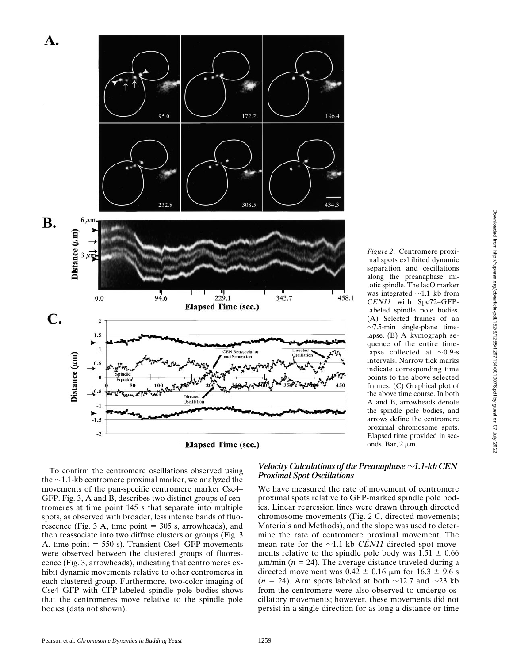



To confirm the centromere oscillations observed using the  $\sim$ 1.1-kb centromere proximal marker, we analyzed the movements of the pan-specific centromere marker Cse4– GFP. Fig. 3, A and B, describes two distinct groups of centromeres at time point 145 s that separate into multiple spots, as observed with broader, less intense bands of fluorescence (Fig. 3 A, time point  $= 305$  s, arrowheads), and then reassociate into two diffuse clusters or groups (Fig. 3 A, time point  $= 550$  s). Transient Cse4–GFP movements were observed between the clustered groups of fluorescence (Fig. 3, arrowheads), indicating that centromeres exhibit dynamic movements relative to other centromeres in each clustered group. Furthermore, two-color imaging of Cse4–GFP with CFP-labeled spindle pole bodies shows that the centromeres move relative to the spindle pole bodies (data not shown).

## *Velocity Calculations of the Preanaphase*  $\sim$ 1.1-kb CEN *Proximal Spot Oscillations*

onds. Bar,  $2 \mu m$ .

*Figure 2*. Centromere proximal spots exhibited dynamic separation and oscillations along the preanaphase mitotic spindle. The lacO marker was integrated  $\sim$ 1.1 kb from *CEN11* with Spc72–GFPlabeled spindle pole bodies. (A) Selected frames of an  $\sim$ 7.5-min single-plane timelapse. (B) A kymograph sequence of the entire timelapse collected at  $\sim$ 0.9-s intervals. Narrow tick marks indicate corresponding time points to the above selected frames. (C) Graphical plot of the above time course. In both A and B, arrowheads denote the spindle pole bodies, and arrows define the centromere proximal chromosome spots. Elapsed time provided in sec-

We have measured the rate of movement of centromere proximal spots relative to GFP-marked spindle pole bodies. Linear regression lines were drawn through directed chromosome movements (Fig. 2 C, directed movements; Materials and Methods), and the slope was used to determine the rate of centromere proximal movement. The mean rate for the  $\sim$ 1.1-kb *CEN11*-directed spot movements relative to the spindle pole body was  $1.51 \pm 0.66$  $\mu$ m/min ( $n = 24$ ). The average distance traveled during a directed movement was  $0.42 \pm 0.16$  µm for  $16.3 \pm 9.6$  s  $(n = 24)$ . Arm spots labeled at both  $\sim$ 12.7 and  $\sim$ 23 kb from the centromere were also observed to undergo oscillatory movements; however, these movements did not persist in a single direction for as long a distance or time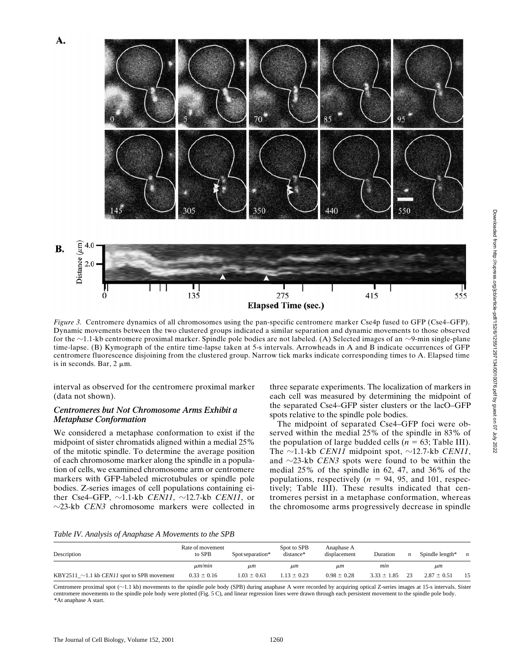

*Figure 3.* Centromere dynamics of all chromosomes using the pan-specific centromere marker Cse4p fused to GFP (Cse4–GFP). Dynamic movements between the two clustered groups indicated a similar separation and dynamic movements to those observed for the  $\sim$ 1.1-kb centromere proximal marker. Spindle pole bodies are not labeled. (A) Selected images of an  $\sim$ 9-min single-plane time-lapse. (B) Kymograph of the entire time-lapse taken at 5-s intervals. Arrowheads in A and B indicate occurrences of GFP centromere fluorescence disjoining from the clustered group. Narrow tick marks indicate corresponding times to A. Elapsed time is in seconds. Bar,  $2 \mu m$ .

interval as observed for the centromere proximal marker (data not shown).

#### *Centromeres but Not Chromosome Arms Exhibit a Metaphase Conformation*

We considered a metaphase conformation to exist if the midpoint of sister chromatids aligned within a medial 25% of the mitotic spindle. To determine the average position of each chromosome marker along the spindle in a population of cells, we examined chromosome arm or centromere markers with GFP-labeled microtubules or spindle pole bodies. Z-series images of cell populations containing either Cse4–GFP,  $\sim$ 1.1-kb *CEN11*,  $\sim$ 12.7-kb *CEN11*, or  $\sim$ 23-kb *CEN3* chromosome markers were collected in

three separate experiments. The localization of markers in each cell was measured by determining the midpoint of the separated Cse4–GFP sister clusters or the lacO–GFP spots relative to the spindle pole bodies.

The midpoint of separated Cse4–GFP foci were observed within the medial 25% of the spindle in 83% of the population of large budded cells  $(n = 63; \text{Table III})$ . The  $\sim$ 1.1-kb *CEN11* midpoint spot,  $\sim$ 12.7-kb *CEN11*, and  $\sim$ 23-kb *CEN3* spots were found to be within the medial 25% of the spindle in 62, 47, and 36% of the populations, respectively  $(n = 94, 95,$  and 101, respectively; Table III). These results indicated that centromeres persist in a metaphase conformation, whereas the chromosome arms progressively decrease in spindle

*Table IV. Analysis of Anaphase A Movements to the SPB* 

| Description                                              | Rate of movement<br>to SPB | Spot separation* | Spot to SPB<br>distance* | Anaphase A<br>displacement | Duration        | $\boldsymbol{n}$ | Spindle length* | $\mathfrak n$ |
|----------------------------------------------------------|----------------------------|------------------|--------------------------|----------------------------|-----------------|------------------|-----------------|---------------|
|                                                          | $\mu m/min$                | $\mu$ m          | $\mu$ m                  | $\mu$ m                    | mın             |                  | $\mu$ m         |               |
| KBY2511_ $\sim$ 1.1 kb <i>CEN11</i> spot to SPB movement | $0.33 \pm 0.16$            | $1.03 \pm 0.63$  | $1.13 \pm 0.23$          | $0.98 \pm 0.28$            | $3.33 \pm 1.85$ | 23               | $2.87 \pm 0.51$ | 15            |

Centromere proximal spot ( $\sim$ 1.1 kb) movements to the spindle pole body (SPB) during anaphase A were recorded by acquiring optical Z-series images at 15-s intervals. Sister centromere movements to the spindle pole body were plotted (Fig. 5 C), and linear regression lines were drawn through each persistent movement to the spindle pole body. \*At anaphase A start.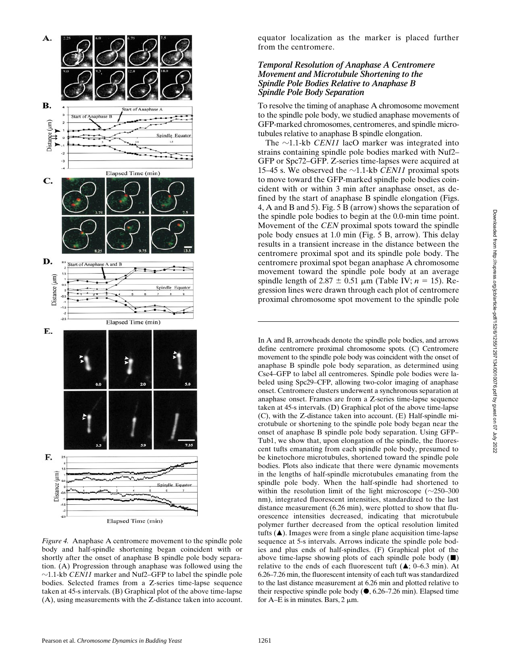



*Figure 4.* Anaphase A centromere movement to the spindle pole body and half-spindle shortening began coincident with or shortly after the onset of anaphase B spindle pole body separation. (A) Progression through anaphase was followed using the  $\sim$ 1.1-kb *CEN11* marker and Nuf2–GFP to label the spindle pole bodies. Selected frames from a Z-series time-lapse sequence taken at 45-s intervals. (B) Graphical plot of the above time-lapse (A), using measurements with the Z-distance taken into account.

equator localization as the marker is placed further from the centromere.

## *Temporal Resolution of Anaphase A Centromere Movement and Microtubule Shortening to the Spindle Pole Bodies Relative to Anaphase B Spindle Pole Body Separation*

To resolve the timing of anaphase A chromosome movement to the spindle pole body, we studied anaphase movements of GFP-marked chromosomes, centromeres, and spindle microtubules relative to anaphase B spindle elongation.

The  $\sim$ 1.1-kb *CEN11* lacO marker was integrated into strains containing spindle pole bodies marked with Nuf2– GFP or Spc72–GFP. Z-series time-lapses were acquired at 15–45 s. We observed the  $\sim$ 1.1-kb *CEN11* proximal spots to move toward the GFP-marked spindle pole bodies coincident with or within 3 min after anaphase onset, as defined by the start of anaphase B spindle elongation (Figs. 4, A and B and 5). Fig. 5 B (arrow) shows the separation of the spindle pole bodies to begin at the 0.0-min time point. Movement of the *CEN* proximal spots toward the spindle pole body ensues at 1.0 min (Fig. 5 B, arrow). This delay results in a transient increase in the distance between the centromere proximal spot and its spindle pole body. The centromere proximal spot began anaphase A chromosome movement toward the spindle pole body at an average spindle length of 2.87  $\pm$  0.51  $\mu$ m (Table IV; *n* = 15). Regression lines were drawn through each plot of centromere proximal chromosome spot movement to the spindle pole

In A and B, arrowheads denote the spindle pole bodies, and arrows define centromere proximal chromosome spots. (C) Centromere movement to the spindle pole body was coincident with the onset of anaphase B spindle pole body separation, as determined using Cse4–GFP to label all centromeres. Spindle pole bodies were labeled using Spc29–CFP, allowing two-color imaging of anaphase onset. Centromere clusters underwent a synchronous separation at anaphase onset. Frames are from a Z-series time-lapse sequence taken at 45-s intervals. (D) Graphical plot of the above time-lapse (C), with the Z-distance taken into account. (E) Half-spindle microtubule or shortening to the spindle pole body began near the onset of anaphase B spindle pole body separation. Using GFP– Tub1, we show that, upon elongation of the spindle, the fluorescent tufts emanating from each spindle pole body, presumed to be kinetochore microtubules, shortened toward the spindle pole bodies. Plots also indicate that there were dynamic movements in the lengths of half-spindle microtubules emanating from the spindle pole body. When the half-spindle had shortened to within the resolution limit of the light microscope  $(\sim 250-300$ nm), integrated fluorescent intensities, standardized to the last distance measurement (6.26 min), were plotted to show that fluorescence intensities decreased, indicating that microtubule polymer further decreased from the optical resolution limited tufts  $(\triangle)$ . Images were from a single plane acquisition time-lapse sequence at 5-s intervals. Arrows indicate the spindle pole bodies and plus ends of half-spindles. (F) Graphical plot of the above time-lapse showing plots of each spindle pole body  $(\blacksquare)$ relative to the ends of each fluorescent tuft  $(A; 0-6.3 \text{ min})$ . At 6.26–7.26 min, the fluorescent intensity of each tuft was standardized to the last distance measurement at 6.26 min and plotted relative to their respective spindle pole body  $(\bullet, 6.26-7.26 \text{ min})$ . Elapsed time for A–E is in minutes. Bars,  $2 \mu m$ .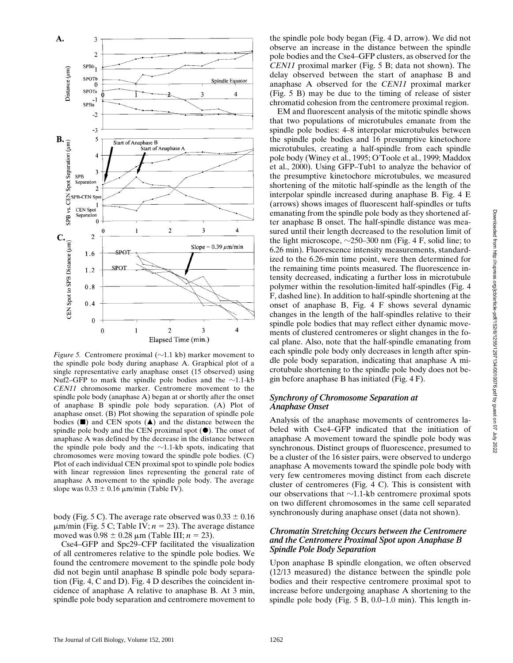

*Figure 5.* Centromere proximal ( $\sim$ 1.1 kb) marker movement to the spindle pole body during anaphase A. Graphical plot of a single representative early anaphase onset (15 observed) using Nuf2–GFP to mark the spindle pole bodies and the  $\sim$ 1.1-kb *CEN11* chromosome marker. Centromere movement to the spindle pole body (anaphase A) began at or shortly after the onset of anaphase B spindle pole body separation. (A) Plot of anaphase onset. (B) Plot showing the separation of spindle pole bodies  $(\blacksquare)$  and CEN spots  $(\blacktriangle)$  and the distance between the spindle pole body and the CEN proximal spot  $(\bullet)$ . The onset of anaphase A was defined by the decrease in the distance between the spindle pole body and the  $\sim$ 1.1-kb spots, indicating that chromosomes were moving toward the spindle pole bodies. (C) Plot of each individual CEN proximal spot to spindle pole bodies with linear regression lines representing the general rate of anaphase A movement to the spindle pole body. The average slope was  $0.33 \pm 0.16$   $\mu$ m/min (Table IV).

body (Fig. 5 C). The average rate observed was  $0.33 \pm 0.16$  $\mu$ m/min (Fig. 5 C; Table IV;  $n = 23$ ). The average distance moved was  $0.98 \pm 0.28 \,\mu m$  (Table III; *n* = 23).

Cse4–GFP and Spc29–CFP facilitated the visualization of all centromeres relative to the spindle pole bodies. We found the centromere movement to the spindle pole body did not begin until anaphase B spindle pole body separation (Fig. 4, C and D). Fig. 4 D describes the coincident incidence of anaphase A relative to anaphase B. At 3 min, spindle pole body separation and centromere movement to

the spindle pole body began (Fig. 4 D, arrow). We did not observe an increase in the distance between the spindle pole bodies and the Cse4–GFP clusters, as observed for the *CEN11* proximal marker (Fig. 5 B; data not shown). The delay observed between the start of anaphase B and anaphase A observed for the *CEN11* proximal marker (Fig. 5 B) may be due to the timing of release of sister chromatid cohesion from the centromere proximal region.

EM and fluorescent analysis of the mitotic spindle shows that two populations of microtubules emanate from the spindle pole bodies: 4–8 interpolar microtubules between the spindle pole bodies and 16 presumptive kinetochore microtubules, creating a half-spindle from each spindle pole body (Winey et al., 1995; O'Toole et al., 1999; Maddox et al., 2000). Using GFP–Tub1 to analyze the behavior of the presumptive kinetochore microtubules, we measured shortening of the mitotic half-spindle as the length of the interpolar spindle increased during anaphase B. Fig. 4 E (arrows) shows images of fluorescent half-spindles or tufts emanating from the spindle pole body as they shortened after anaphase B onset. The half-spindle distance was measured until their length decreased to the resolution limit of the light microscope,  $\sim$ 250–300 nm (Fig. 4 F, solid line; to 6.26 min). Fluorescence intensity measurements, standardized to the 6.26-min time point, were then determined for the remaining time points measured. The fluorescence intensity decreased, indicating a further loss in microtubule polymer within the resolution-limited half-spindles (Fig. 4 F, dashed line). In addition to half-spindle shortening at the onset of anaphase B, Fig. 4 F shows several dynamic changes in the length of the half-spindles relative to their spindle pole bodies that may reflect either dynamic movements of clustered centromeres or slight changes in the focal plane. Also, note that the half-spindle emanating from each spindle pole body only decreases in length after spindle pole body separation, indicating that anaphase A microtubule shortening to the spindle pole body does not begin before anaphase B has initiated (Fig. 4 F).

#### *Synchrony of Chromosome Separation at Anaphase Onset*

Analysis of the anaphase movements of centromeres labeled with Cse4–GFP indicated that the initiation of anaphase A movement toward the spindle pole body was synchronous. Distinct groups of fluorescence, presumed to be a cluster of the 16 sister pairs, were observed to undergo anaphase A movements toward the spindle pole body with very few centromeres moving distinct from each discrete cluster of centromeres (Fig. 4 C). This is consistent with our observations that  $\sim$ 1.1-kb centromere proximal spots on two different chromosomes in the same cell separated synchronously during anaphase onset (data not shown).

## *Chromatin Stretching Occurs between the Centromere and the Centromere Proximal Spot upon Anaphase B Spindle Pole Body Separation*

Upon anaphase B spindle elongation, we often observed (12/13 measured) the distance between the spindle pole bodies and their respective centromere proximal spot to increase before undergoing anaphase A shortening to the spindle pole body (Fig. 5 B, 0.0–1.0 min). This length in-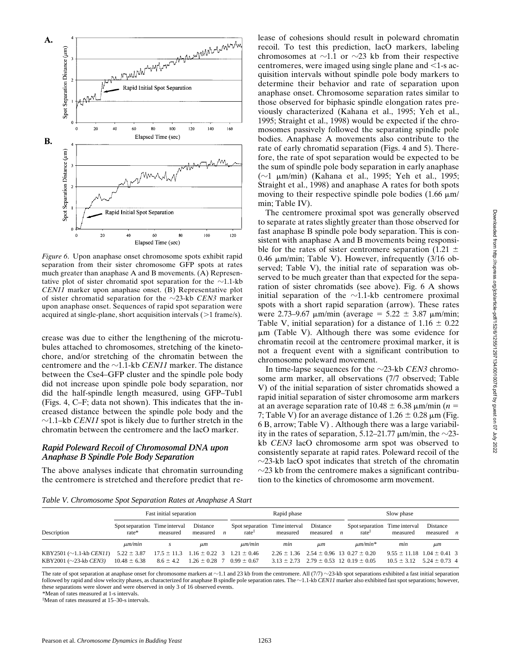

*Figure 6*. Upon anaphase onset chromosome spots exhibit rapid separation from their sister chromosome GFP spots at rates much greater than anaphase A and B movements. (A) Representative plot of sister chromatid spot separation for the  $\sim$ 1.1-kb *CEN11* marker upon anaphase onset. (B) Representative plot of sister chromatid separation for the  $\sim$ 23-kb *CEN3* marker upon anaphase onset. Sequences of rapid spot separation were acquired at single-plane, short acquisition intervals  $(>1$  frame/s).

crease was due to either the lengthening of the microtubules attached to chromosomes, stretching of the kinetochore, and/or stretching of the chromatin between the centromere and the  $\sim$ 1.1-kb *CEN11* marker. The distance between the Cse4–GFP cluster and the spindle pole body did not increase upon spindle pole body separation, nor did the half-spindle length measured, using GFP–Tub1 (Figs. 4, C–F; data not shown). This indicates that the increased distance between the spindle pole body and the  $\sim$ 1.1–kb *CEN11* spot is likely due to further stretch in the chromatin between the centromere and the lacO marker.

#### *Rapid Poleward Recoil of Chromosomal DNA upon Anaphase B Spindle Pole Body Separation*

The above analyses indicate that chromatin surrounding the centromere is stretched and therefore predict that re-

lease of cohesions should result in poleward chromatin recoil. To test this prediction, lacO markers, labeling chromosomes at  $\sim$ 1.1 or  $\sim$ 23 kb from their respective centromeres, were imaged using single plane and  $\leq 1$ -s acquisition intervals without spindle pole body markers to determine their behavior and rate of separation upon anaphase onset. Chromosome separation rates similar to those observed for biphasic spindle elongation rates previously characterized (Kahana et al., 1995; Yeh et al., 1995; Straight et al., 1998) would be expected if the chromosomes passively followed the separating spindle pole bodies. Anaphase A movements also contribute to the rate of early chromatid separation (Figs. 4 and 5). Therefore, the rate of spot separation would be expected to be the sum of spindle pole body separation in early anaphase  $(\sim]1 \mu m/min)$  (Kahana et al., 1995; Yeh et al., 1995; Straight et al., 1998) and anaphase A rates for both spots moving to their respective spindle pole bodies  $(1.66 \mu m)$ min; Table IV).

The centromere proximal spot was generally observed to separate at rates slightly greater than those observed for fast anaphase B spindle pole body separation. This is consistent with anaphase A and B movements being responsible for the rates of sister centromere separation (1.21  $\pm$ 0.46  $\mu$ m/min; Table V). However, infrequently (3/16 observed; Table V), the initial rate of separation was observed to be much greater than that expected for the separation of sister chromatids (see above). Fig. 6 A shows initial separation of the  $\sim$ 1.1-kb centromere proximal spots with a short rapid separation (arrow). These rates were 2.73–9.67  $\mu$ m/min (average = 5.22  $\pm$  3.87  $\mu$ m/min; Table V, initial separation) for a distance of  $1.16 \pm 0.22$  $\mu$ m (Table V). Although there was some evidence for chromatin recoil at the centromere proximal marker, it is not a frequent event with a significant contribution to chromosome poleward movement.

In time-lapse sequences for the  $\sim$ 23-kb *CEN3* chromosome arm marker, all observations (7/7 observed; Table V) of the initial separation of sister chromatids showed a rapid initial separation of sister chromosome arm markers at an average separation rate of  $10.48 \pm 6.38$   $\mu$ m/min (*n* = 7; Table V) for an average distance of  $1.26 \pm 0.28 \,\mu m$  (Fig. 6 B, arrow; Table V) . Although there was a large variability in the rates of separation, 5.12–21.77  $\mu$ m/min, the  $\sim$ 23kb *CEN3* lacO chromosome arm spot was observed to consistently separate at rapid rates. Poleward recoil of the  $\sim$ 23-kb lacO spot indicates that stretch of the chromatin  $\sim$ 23 kb from the centromere makes a significant contribution to the kinetics of chromosome arm movement.

*Table V. Chromosome Spot Separation Rates at Anaphase A Start*

|                                                                                | Fast initial separation                |                                                                    |                      |                | Rapid phase                            |                                                                                                          |                      | Slow phase     |                                                    |                                                       |                          |  |
|--------------------------------------------------------------------------------|----------------------------------------|--------------------------------------------------------------------|----------------------|----------------|----------------------------------------|----------------------------------------------------------------------------------------------------------|----------------------|----------------|----------------------------------------------------|-------------------------------------------------------|--------------------------|--|
| Description                                                                    | Spot separation Time interval<br>rate* | measured                                                           | Distance<br>measured | $\overline{n}$ | Spot separation Time interval<br>rate+ | measured                                                                                                 | Distance<br>measured | $\overline{n}$ | Spot separation Time interval<br>rate <sup>+</sup> | measured                                              | Distance<br>$measured$ n |  |
|                                                                                | $\mu m/min$                            |                                                                    | иm                   |                | $\mu m/min$                            | min                                                                                                      | $\mu$ m              |                | $\mu m/min^*$                                      | min                                                   | $\mu$ m                  |  |
| KBY2501 ( $\sim$ 1.1-kb <i>CEN11</i> )<br>KBY2001 ( $\sim$ 23-kb <i>CEN3</i> ) | $5.22 \pm 3.87$<br>$10.48 \pm 6.38$    | $17.5 \pm 11.3$ $1.16 \pm 0.22$ 3 $1.21 \pm 0.46$<br>$8.6 \pm 4.2$ | $1.26 \pm 0.28$ 7    |                | $0.99 \pm 0.67$                        | $2.26 \pm 1.36$ $2.54 \pm 0.96$ 13 $0.27 \pm 0.20$<br>$3.13 \pm 2.73$ $2.79 \pm 0.53$ 12 $0.19 \pm 0.05$ |                      |                |                                                    | $9.55 \pm 11.18$ $1.04 \pm 0.41$ 3<br>$10.5 \pm 3.12$ | $5.24 \pm 0.73$ 4        |  |

The rate of spot separation at anaphase onset for chromosome markers at  $\sim$ 1.1 and 23 kb from the centromere. All (7/7)  $\sim$ 23-kb spot separations exhibited a fast initial separation followed by rapid and slow velocity phases, as characterized for anaphase B spindle pole separation rates. The  $\sim$  1.1-kb *CEN11* marker also exhibited fast spot separations; however, these separations were slower and were observed in only 3 of 16 observed events.

\*Mean of rates measured at 1-s intervals.

‡ Mean of rates measured at 15–30-s intervals.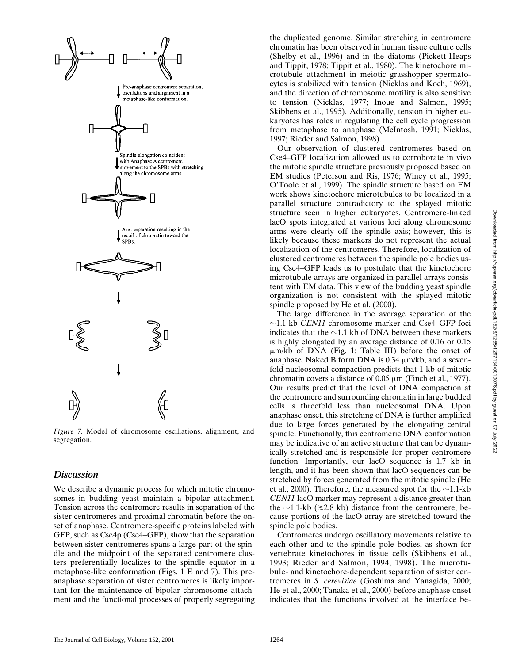

*Figure 7.* Model of chromosome oscillations, alignment, and segregation.

## *Discussion*

We describe a dynamic process for which mitotic chromosomes in budding yeast maintain a bipolar attachment. Tension across the centromere results in separation of the sister centromeres and proximal chromatin before the onset of anaphase. Centromere-specific proteins labeled with GFP, such as Cse4p (Cse4–GFP), show that the separation between sister centromeres spans a large part of the spindle and the midpoint of the separated centromere clusters preferentially localizes to the spindle equator in a metaphase-like conformation (Figs. 1 E and 7). This preanaphase separation of sister centromeres is likely important for the maintenance of bipolar chromosome attachment and the functional processes of properly segregating

the duplicated genome. Similar stretching in centromere chromatin has been observed in human tissue culture cells (Shelby et al., 1996) and in the diatoms (Pickett-Heaps and Tippit, 1978; Tippit et al., 1980). The kinetochore microtubule attachment in meiotic grasshopper spermatocytes is stabilized with tension (Nicklas and Koch, 1969), and the direction of chromosome motility is also sensitive to tension (Nicklas, 1977; Inoue and Salmon, 1995; Skibbens et al., 1995). Additionally, tension in higher eukaryotes has roles in regulating the cell cycle progression from metaphase to anaphase (McIntosh, 1991; Nicklas, 1997; Rieder and Salmon, 1998).

Our observation of clustered centromeres based on Cse4–GFP localization allowed us to corroborate in vivo the mitotic spindle structure previously proposed based on EM studies (Peterson and Ris, 1976; Winey et al., 1995; O'Toole et al., 1999). The spindle structure based on EM work shows kinetochore microtubules to be localized in a parallel structure contradictory to the splayed mitotic structure seen in higher eukaryotes. Centromere-linked lacO spots integrated at various loci along chromosome arms were clearly off the spindle axis; however, this is likely because these markers do not represent the actual localization of the centromeres. Therefore, localization of clustered centromeres between the spindle pole bodies using Cse4–GFP leads us to postulate that the kinetochore microtubule arrays are organized in parallel arrays consistent with EM data. This view of the budding yeast spindle organization is not consistent with the splayed mitotic spindle proposed by He et al. (2000).

The large difference in the average separation of the  $\sim$ 1.1-kb *CEN11* chromosome marker and Cse4–GFP foci indicates that the  $\sim$ 1.1 kb of DNA between these markers is highly elongated by an average distance of 0.16 or 0.15  $\mu$ m/kb of DNA (Fig. 1; Table III) before the onset of anaphase. Naked B form DNA is  $0.34 \mu m/kb$ , and a sevenfold nucleosomal compaction predicts that 1 kb of mitotic chromatin covers a distance of  $0.05 \mu m$  (Finch et al., 1977). Our results predict that the level of DNA compaction at the centromere and surrounding chromatin in large budded cells is threefold less than nucleosomal DNA. Upon anaphase onset, this stretching of DNA is further amplified due to large forces generated by the elongating central spindle. Functionally, this centromeric DNA conformation may be indicative of an active structure that can be dynamically stretched and is responsible for proper centromere function. Importantly, our lacO sequence is 1.7 kb in length, and it has been shown that lacO sequences can be stretched by forces generated from the mitotic spindle (He et al., 2000). Therefore, the measured spot for the  $\sim$ 1.1-kb *CEN11* lacO marker may represent a distance greater than the  $\sim$ 1.1-kb ( $\geq$ 2.8 kb) distance from the centromere, because portions of the lacO array are stretched toward the spindle pole bodies.

Centromeres undergo oscillatory movements relative to each other and to the spindle pole bodies, as shown for vertebrate kinetochores in tissue cells (Skibbens et al., 1993; Rieder and Salmon, 1994, 1998). The microtubule- and kinetochore-dependent separation of sister centromeres in *S. cerevisiae* (Goshima and Yanagida, 2000; He et al., 2000; Tanaka et al., 2000) before anaphase onset indicates that the functions involved at the interface be-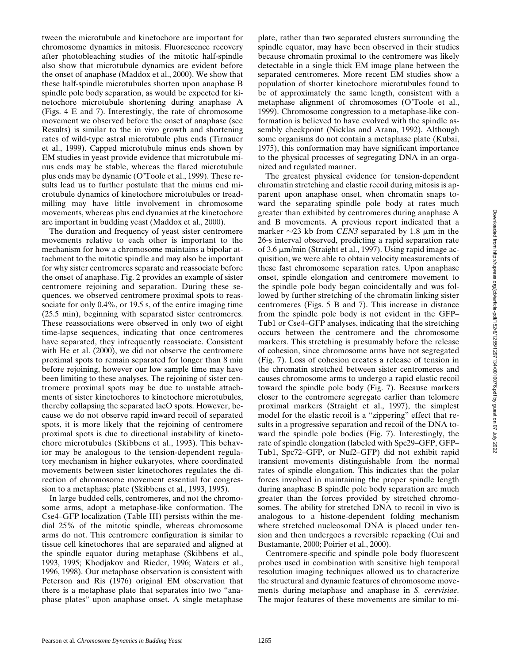tween the microtubule and kinetochore are important for chromosome dynamics in mitosis. Fluorescence recovery after photobleaching studies of the mitotic half-spindle also show that microtubule dynamics are evident before the onset of anaphase (Maddox et al., 2000). We show that these half-spindle microtubules shorten upon anaphase B spindle pole body separation, as would be expected for kinetochore microtubule shortening during anaphase A (Figs. 4 E and 7). Interestingly, the rate of chromosome movement we observed before the onset of anaphase (see Results) is similar to the in vivo growth and shortening rates of wild-type astral microtubule plus ends (Tirnauer et al., 1999). Capped microtubule minus ends shown by EM studies in yeast provide evidence that microtubule minus ends may be stable, whereas the flared microtubule plus ends may be dynamic (O'Toole et al., 1999). These results lead us to further postulate that the minus end microtubule dynamics of kinetochore microtubules or treadmilling may have little involvement in chromosome movements, whereas plus end dynamics at the kinetochore are important in budding yeast (Maddox et al., 2000).

The duration and frequency of yeast sister centromere movements relative to each other is important to the mechanism for how a chromosome maintains a bipolar attachment to the mitotic spindle and may also be important for why sister centromeres separate and reassociate before the onset of anaphase. Fig. 2 provides an example of sister centromere rejoining and separation. During these sequences, we observed centromere proximal spots to reassociate for only 0.4%, or 19.5 s, of the entire imaging time (25.5 min), beginning with separated sister centromeres. These reassociations were observed in only two of eight time-lapse sequences, indicating that once centromeres have separated, they infrequently reassociate. Consistent with He et al.  $(2000)$ , we did not observe the centromere proximal spots to remain separated for longer than 8 min before rejoining, however our low sample time may have been limiting to these analyses. The rejoining of sister centromere proximal spots may be due to unstable attachments of sister kinetochores to kinetochore microtubules, thereby collapsing the separated lacO spots. However, because we do not observe rapid inward recoil of separated spots, it is more likely that the rejoining of centromere proximal spots is due to directional instability of kinetochore microtubules (Skibbens et al., 1993). This behavior may be analogous to the tension-dependent regulatory mechanism in higher eukaryotes, where coordinated movements between sister kinetochores regulates the direction of chromosome movement essential for congression to a metaphase plate (Skibbens et al., 1993, 1995).

In large budded cells, centromeres, and not the chromosome arms, adopt a metaphase-like conformation. The Cse4–GFP localization (Table III) persists within the medial 25% of the mitotic spindle, whereas chromosome arms do not. This centromere configuration is similar to tissue cell kinetochores that are separated and aligned at the spindle equator during metaphase (Skibbens et al., 1993, 1995; Khodjakov and Rieder, 1996; Waters et al., 1996, 1998). Our metaphase observation is consistent with Peterson and Ris (1976) original EM observation that there is a metaphase plate that separates into two "anaphase plates" upon anaphase onset. A single metaphase

plate, rather than two separated clusters surrounding the spindle equator, may have been observed in their studies because chromatin proximal to the centromere was likely detectable in a single thick EM image plane between the separated centromeres. More recent EM studies show a population of shorter kinetochore microtubules found to be of approximately the same length, consistent with a metaphase alignment of chromosomes (O'Toole et al., 1999). Chromosome congression to a metaphase-like conformation is believed to have evolved with the spindle assembly checkpoint (Nicklas and Arana, 1992). Although some organisms do not contain a metaphase plate (Kubai, 1975), this conformation may have significant importance to the physical processes of segregating DNA in an organized and regulated manner.

The greatest physical evidence for tension-dependent chromatin stretching and elastic recoil during mitosis is apparent upon anaphase onset, when chromatin snaps toward the separating spindle pole body at rates much greater than exhibited by centromeres during anaphase A and B movements. A previous report indicated that a marker  $\sim$ 23 kb from *CEN3* separated by 1.8  $\mu$ m in the 26-s interval observed, predicting a rapid separation rate of 3.6  $\mu$ m/min (Straight et al., 1997). Using rapid image acquisition, we were able to obtain velocity measurements of these fast chromosome separation rates. Upon anaphase onset, spindle elongation and centromere movement to the spindle pole body began coincidentally and was followed by further stretching of the chromatin linking sister centromeres (Figs. 5 B and 7). This increase in distance from the spindle pole body is not evident in the GFP– Tub1 or Cse4–GFP analyses, indicating that the stretching occurs between the centromere and the chromosome markers. This stretching is presumably before the release of cohesion, since chromosome arms have not segregated (Fig. 7). Loss of cohesion creates a release of tension in the chromatin stretched between sister centromeres and causes chromosome arms to undergo a rapid elastic recoil toward the spindle pole body (Fig. 7). Because markers closer to the centromere segregate earlier than telomere proximal markers (Straight et al., 1997), the simplest model for the elastic recoil is a "zippering" effect that results in a progressive separation and recoil of the DNA toward the spindle pole bodies (Fig. 7). Interestingly, the rate of spindle elongation (labeled with Spc29–GFP, GFP– Tub1, Spc72–GFP, or Nuf2–GFP) did not exhibit rapid transient movements distinguishable from the normal rates of spindle elongation. This indicates that the polar forces involved in maintaining the proper spindle length during anaphase B spindle pole body separation are much greater than the forces provided by stretched chromosomes. The ability for stretched DNA to recoil in vivo is analogous to a histone-dependent folding mechanism where stretched nucleosomal DNA is placed under tension and then undergoes a reversible repacking (Cui and Bustamante, 2000; Poirier et al., 2000).

Centromere-specific and spindle pole body fluorescent probes used in combination with sensitive high temporal resolution imaging techniques allowed us to characterize the structural and dynamic features of chromosome movements during metaphase and anaphase in *S. cerevisiae*. The major features of these movements are similar to mi